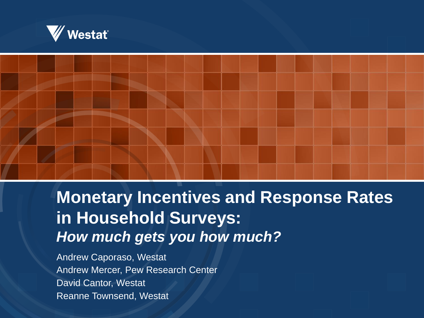



# **Monetary Incentives and Response Rates in Household Surveys:**  *How much gets you how much?*

Andrew Caporaso, Westat Andrew Mercer, Pew Research Center David Cantor, Westat Reanne Townsend, Westat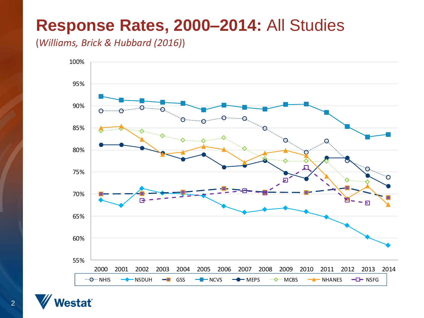## **Response Rates, 2000–2014:** All Studies

(*Williams, Brick & Hubbard (2016)*)



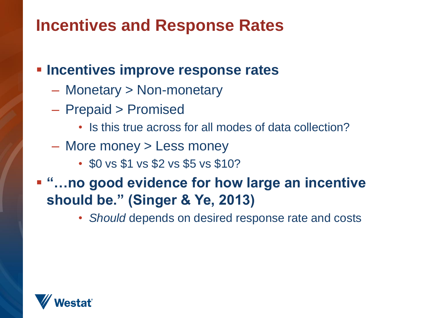# **Incentives and Response Rates**

**Incentives improve response rates**

- Monetary > Non-monetary
- Prepaid > Promised
	- Is this true across for all modes of data collection?
- More money > Less money
	- \$0 vs \$1 vs \$2 vs \$5 vs \$10?
- **"…no good evidence for how large an incentive should be." (Singer & Ye, 2013)**
	- *Should* depends on desired response rate and costs

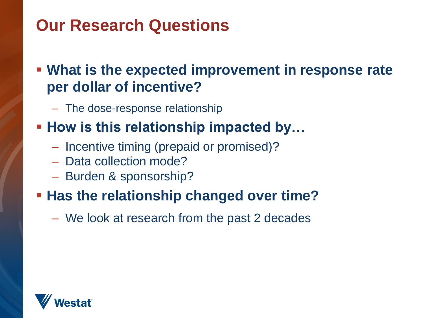# **Our Research Questions**

#### **What is the expected improvement in response rate per dollar of incentive?**

– The dose-response relationship

#### **How is this relationship impacted by...**

- Incentive timing (prepaid or promised)?
- Data collection mode?
- Burden & sponsorship?

#### **Has the relationship changed over time?**

– We look at research from the past 2 decades

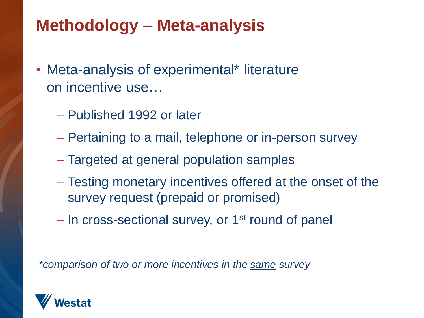# **Methodology – Meta-analysis**

- Meta-analysis of experimental\* literature on incentive use…
	- Published 1992 or later
	- Pertaining to a mail, telephone or in-person survey
	- Targeted at general population samples
	- Testing monetary incentives offered at the onset of the survey request (prepaid or promised)
	- $-$  In cross-sectional survey, or 1<sup>st</sup> round of panel

*\*comparison of two or more incentives in the same survey*

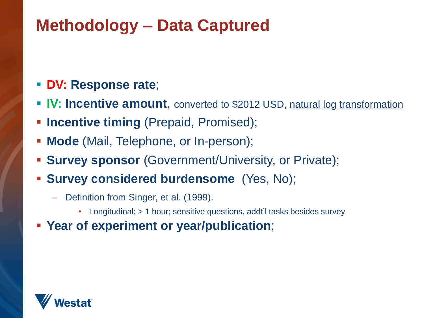# **Methodology – Data Captured**

#### **DV: Response rate**;

- **IV: Incentive amount**, converted to \$2012 USD, natural log transformation
- **Incentive timing** (Prepaid, Promised);
- **Mode** (Mail, Telephone, or In-person);
- **Survey sponsor** (Government/University, or Private);
- **Survey considered burdensome** (Yes, No);
	- Definition from Singer, et al. (1999).
		- Longitudinal; > 1 hour; sensitive questions, addt'l tasks besides survey
- **Year of experiment or year/publication**;

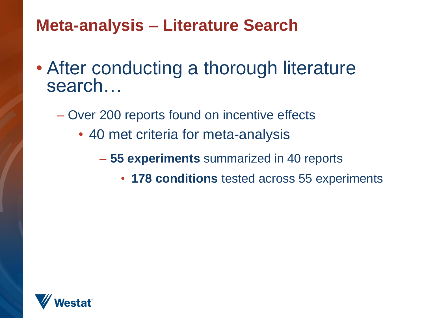# **Meta-analysis – Literature Search**

- After conducting a thorough literature search…
	- Over 200 reports found on incentive effects
		- 40 met criteria for meta-analysis
			- **55 experiments** summarized in 40 reports
				- **178 conditions** tested across 55 experiments

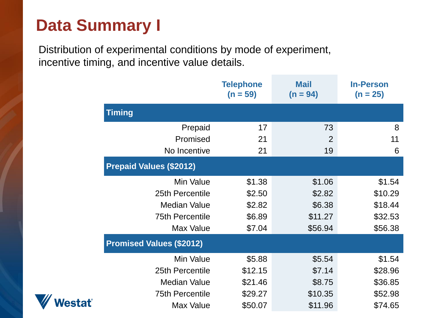# **Data Summary I**

Distribution of experimental conditions by mode of experiment, incentive timing, and incentive value details.

|                                 | <b>Telephone</b><br>$(n = 59)$ | <b>Mail</b><br>$(n = 94)$ | <b>In-Person</b><br>$(n = 25)$ |
|---------------------------------|--------------------------------|---------------------------|--------------------------------|
|                                 |                                |                           |                                |
| Prepaid                         | 17                             | 73                        | 8                              |
| Promised                        | 21                             | 2                         | 11                             |
| No Incentive                    | 21                             | 19                        | 6                              |
| <b>Prepaid Values (\$2012)</b>  |                                |                           |                                |
| Min Value                       | \$1.38                         | \$1.06                    | \$1.54                         |
| 25th Percentile                 | \$2.50                         | \$2.82                    | \$10.29                        |
| <b>Median Value</b>             | \$2.82                         | \$6.38                    | \$18.44                        |
| <b>75th Percentile</b>          | \$6.89                         | \$11.27                   | \$32.53                        |
| Max Value                       | \$7.04                         | \$56.94                   | \$56.38                        |
| <b>Promised Values (\$2012)</b> |                                |                           |                                |
| Min Value                       | \$5.88                         | \$5.54                    | \$1.54                         |
| 25th Percentile                 | \$12.15                        | \$7.14                    | \$28.96                        |
| <b>Median Value</b>             | \$21.46                        | \$8.75                    | \$36.85                        |
| <b>75th Percentile</b>          | \$29.27                        | \$10.35                   | \$52.98                        |
| Max Value                       | \$50.07                        | \$11.96                   | \$74.65                        |
|                                 |                                |                           |                                |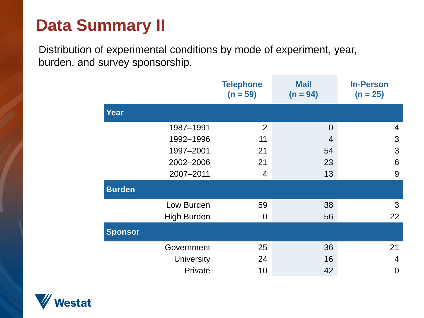# **Data Summary II**

Distribution of experimental conditions by mode of experiment, year, burden, and survey sponsorship.

|                    |                   | <b>Telephone</b><br>$(n = 59)$ | <b>Mail</b><br>$(n = 94)$ | <b>In-Person</b><br>$(n = 25)$ |
|--------------------|-------------------|--------------------------------|---------------------------|--------------------------------|
| <b>Year</b>        |                   |                                |                           |                                |
| 1987-1991          |                   | $\overline{2}$                 | $\overline{0}$            | 4                              |
| 1992-1996          |                   | 11                             | 4                         | 3                              |
| 1997-2001          |                   | 21                             | 54                        | 3                              |
| 2002-2006          |                   | 21                             | 23                        | 6                              |
| 2007-2011          |                   | $\overline{4}$                 | 13                        | 9                              |
| <b>Burden</b>      |                   |                                |                           |                                |
| Low Burden         |                   | 59                             | 38                        | 3                              |
| <b>High Burden</b> |                   | $\overline{0}$                 | 56                        | 22                             |
| <b>Sponsor</b>     |                   |                                |                           |                                |
| Government         |                   | 25                             | 36                        | 21                             |
|                    | <b>University</b> | 24                             | 16                        | $\overline{4}$                 |
|                    | Private           | 10                             | 42                        | 0                              |

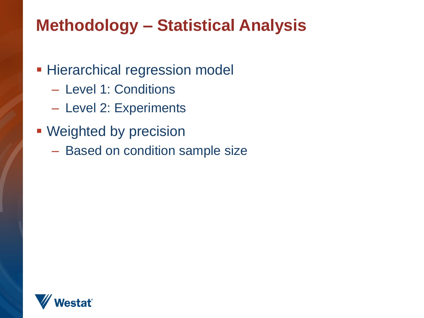# **Methodology – Statistical Analysis**

- **Hierarchical regression model** 
	- Level 1: Conditions
	- Level 2: Experiments
- **Weighted by precision** 
	- Based on condition sample size

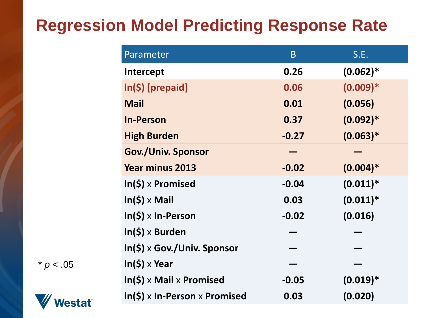# **Regression Model Predicting Response Rate**

| Parameter                       | B       | S.E.        |
|---------------------------------|---------|-------------|
| Intercept                       | 0.26    | $(0.062)*$  |
| $In(5)$ [prepaid]               | 0.06    | $(0.009)*$  |
| <b>Mail</b>                     | 0.01    | (0.056)     |
| <b>In-Person</b>                | 0.37    | $(0.092)*$  |
| <b>High Burden</b>              | $-0.27$ | $(0.063)*$  |
| <b>Gov./Univ. Sponsor</b>       |         |             |
| <b>Year minus 2013</b>          | $-0.02$ | $(0.004)*$  |
| $In(5) \times$ Promised         | $-0.04$ | $(0.011)^*$ |
| $In(5) \times Mail$             | 0.03    | $(0.011)^*$ |
| $ln(5) \times ln$ -Person       | $-0.02$ | (0.016)     |
| $In(5) \times Burden$           |         |             |
| $\ln(\xi)$ x Gov./Univ. Sponsor |         |             |
| $ln(5) \times$ Year             |         |             |
| $In(5)$ x Mail x Promised       | $-0.05$ | $(0.019)*$  |
| $\ln(5)$ x In-Person x Promised | 0.03    | (0.020)     |

 $* p < .05$ 

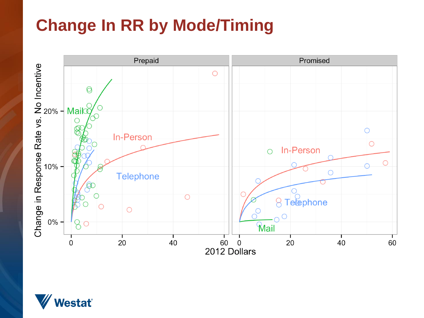# **Change In RR by Mode/Timing**



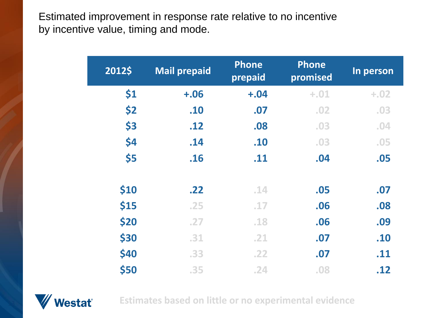Estimated improvement in response rate relative to no incentive by incentive value, timing and mode.

| 2012\$ | <b>Mail prepaid</b> | <b>Phone</b><br>prepaid | <b>Phone</b><br>promised | In person |
|--------|---------------------|-------------------------|--------------------------|-----------|
| \$1    | $+.06$              | $+.04$                  | $+.01$                   | $+.02$    |
| \$2    | .10                 | .07                     | .02                      | .03       |
| \$3    | .12                 | .08                     | .03                      | .04       |
| \$4    | .14                 | .10                     | .03                      | .05       |
| \$5    | .16                 | .11                     | .04                      | .05       |
| \$10   | .22                 | .14                     | .05                      | .07       |
| \$15   | .25                 | .17                     | .06                      | .08       |
| \$20   | .27                 | .18                     | .06                      | .09       |
| \$30   | .31                 | .21                     | .07                      | .10       |
| \$40   | .33                 | .22                     | .07                      | .11       |
| \$50   | .35                 | .24                     | .08                      | .12       |



**Estimates based on little or no experimental evidence**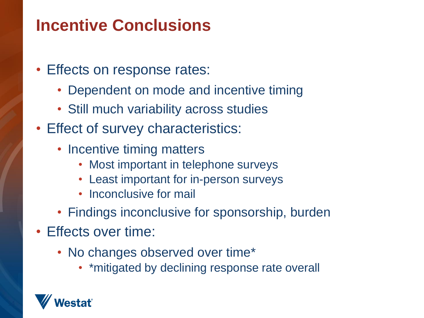# **Incentive Conclusions**

- Effects on response rates:
	- Dependent on mode and incentive timing
	- Still much variability across studies
- Effect of survey characteristics:
	- Incentive timing matters
		- Most important in telephone surveys
		- Least important for in-person surveys
		- Inconclusive for mail
	- Findings inconclusive for sponsorship, burden
- Effects over time:
	- No changes observed over time\*
		- \*mitigated by declining response rate overall

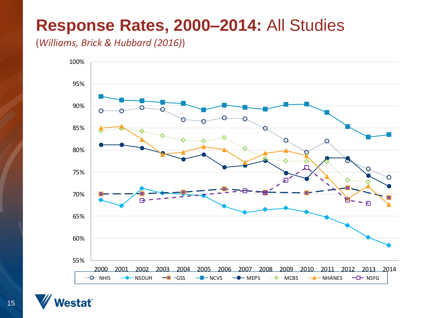## **Response Rates, 2000–2014:** All Studies

(*Williams, Brick & Hubbard (2016)*)



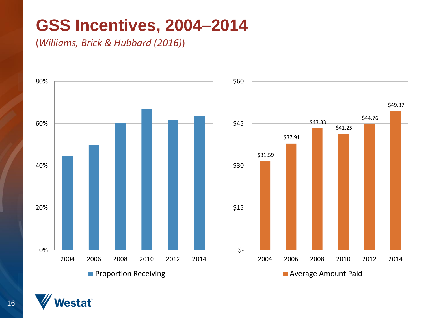# **GSS Incentives, 2004–2014**

(*Williams, Brick & Hubbard (2016)*)





estať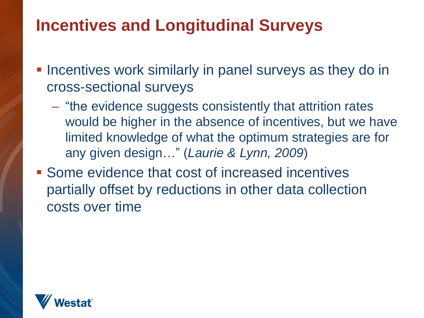# **Incentives and Longitudinal Surveys**

- **Incentives work similarly in panel surveys as they do in** cross-sectional surveys
	- "the evidence suggests consistently that attrition rates would be higher in the absence of incentives, but we have limited knowledge of what the optimum strategies are for any given design…" (*Laurie & Lynn, 2009*)
- **Some evidence that cost of increased incentives** partially offset by reductions in other data collection costs over time

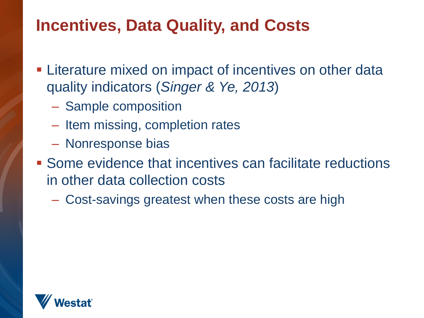# **Incentives, Data Quality, and Costs**

- **Example 2** Literature mixed on impact of incentives on other data quality indicators (*Singer & Ye, 2013*)
	- Sample composition
	- Item missing, completion rates
	- Nonresponse bias
- **Some evidence that incentives can facilitate reductions** in other data collection costs
	- Cost-savings greatest when these costs are high

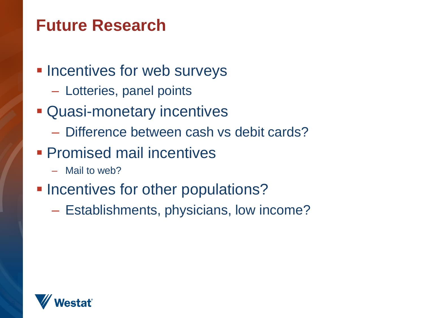## **Future Research**

- **Incentives for web surveys** 
	- Lotteries, panel points
- **Quasi-monetary incentives** 
	- Difference between cash vs debit cards?
- **Promised mail incentives** 
	- Mail to web?
- **Incentives for other populations?** 
	- Establishments, physicians, low income?